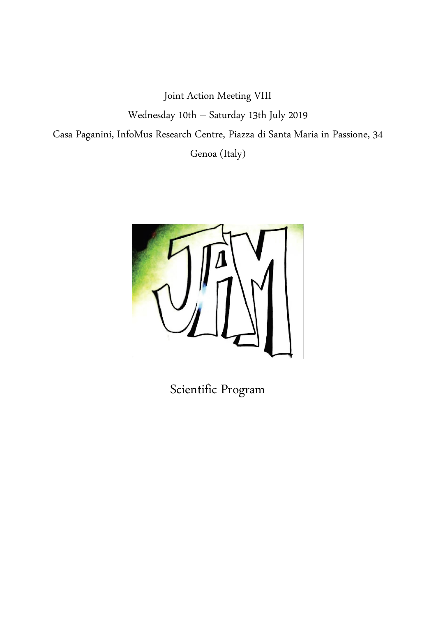Joint Action Meeting VIII Wednesday 10th – Saturday 13th July 2019 Casa Paganini, InfoMus Research Centre, Piazza di Santa Maria in Passione, 34 Genoa (Italy)



Scientific Program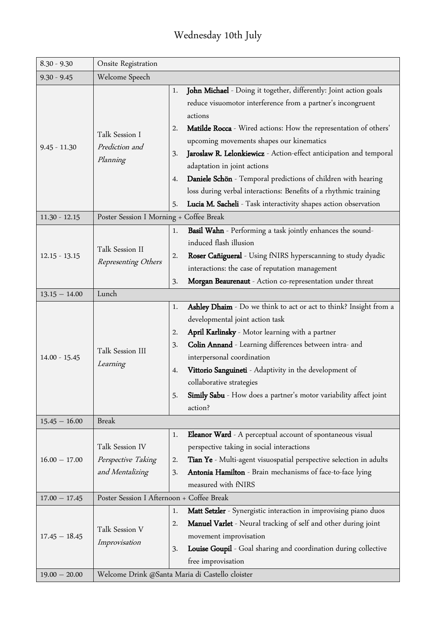### Wednesday 10th July

| $8.30 - 9.30$   | Onsite Registration                                      |                                                                                                                                                                                                                                                                                                                                                                                                                                                                                                                                                                                                        |
|-----------------|----------------------------------------------------------|--------------------------------------------------------------------------------------------------------------------------------------------------------------------------------------------------------------------------------------------------------------------------------------------------------------------------------------------------------------------------------------------------------------------------------------------------------------------------------------------------------------------------------------------------------------------------------------------------------|
| $9.30 - 9.45$   | Welcome Speech                                           |                                                                                                                                                                                                                                                                                                                                                                                                                                                                                                                                                                                                        |
| $9.45 - 11.30$  | Talk Session I<br>Prediction and<br>Planning             | John Michael - Doing it together, differently: Joint action goals<br>1.<br>reduce visuomotor interference from a partner's incongruent<br>actions<br>Matilde Rocca - Wired actions: How the representation of others'<br>2.<br>upcoming movements shapes our kinematics<br>Jaroslaw R. Lelonkiewicz - Action-effect anticipation and temporal<br>3.<br>adaptation in joint actions<br>Daniele Schön - Temporal predictions of children with hearing<br>4.<br>loss during verbal interactions: Benefits of a rhythmic training<br>Lucia M. Sacheli - Task interactivity shapes action observation<br>5. |
| $11.30 - 12.15$ | Poster Session I Morning + Coffee Break                  |                                                                                                                                                                                                                                                                                                                                                                                                                                                                                                                                                                                                        |
| $12.15 - 13.15$ | Talk Session II<br>Representing Others                   | Basil Wahn - Performing a task jointly enhances the sound-<br>1.<br>induced flash illusion<br>Roser Cañigueral - Using fNIRS hyperscanning to study dyadic<br>2.<br>interactions: the case of reputation management<br>Morgan Beaurenaut - Action co-representation under threat<br>3.                                                                                                                                                                                                                                                                                                                 |
| $13.15 - 14.00$ | Lunch                                                    |                                                                                                                                                                                                                                                                                                                                                                                                                                                                                                                                                                                                        |
| $14.00 - 15.45$ | Talk Session III<br>Learning                             | Ashley Dhaim - Do we think to act or act to think? Insight from a<br>1.<br>developmental joint action task<br>April Karlinsky - Motor learning with a partner<br>2.<br>Colin Annand - Learning differences between intra- and<br>3.<br>interpersonal coordination<br>Vittorio Sanguineti - Adaptivity in the development of<br>4.<br>collaborative strategies<br>Simily Sabu - How does a partner's motor variability affect joint<br>5.<br>action?                                                                                                                                                    |
| $15.45 - 16.00$ | <b>Break</b>                                             |                                                                                                                                                                                                                                                                                                                                                                                                                                                                                                                                                                                                        |
| $16.00 - 17.00$ | Talk Session IV<br>Perspective Taking<br>and Mentalizing | Eleanor Ward - A perceptual account of spontaneous visual<br>1.<br>perspective taking in social interactions<br>Tian Ye - Multi-agent visuospatial perspective selection in adults<br>2.<br>Antonia Hamilton - Brain mechanisms of face-to-face lying<br>3.<br>measured with fNIRS                                                                                                                                                                                                                                                                                                                     |
| $17.00 - 17.45$ | Poster Session I Afternoon + Coffee Break                |                                                                                                                                                                                                                                                                                                                                                                                                                                                                                                                                                                                                        |
| $17.45 - 18.45$ | Talk Session V<br>Improvisation                          | Matt Setzler - Synergistic interaction in improvising piano duos<br>1.<br><b>Manuel Varlet</b> - Neural tracking of self and other during joint<br>2.<br>movement improvisation<br>Louise Goupil - Goal sharing and coordination during collective<br>3.<br>free improvisation                                                                                                                                                                                                                                                                                                                         |
| $19.00 - 20.00$ |                                                          | Welcome Drink @Santa Maria di Castello cloister                                                                                                                                                                                                                                                                                                                                                                                                                                                                                                                                                        |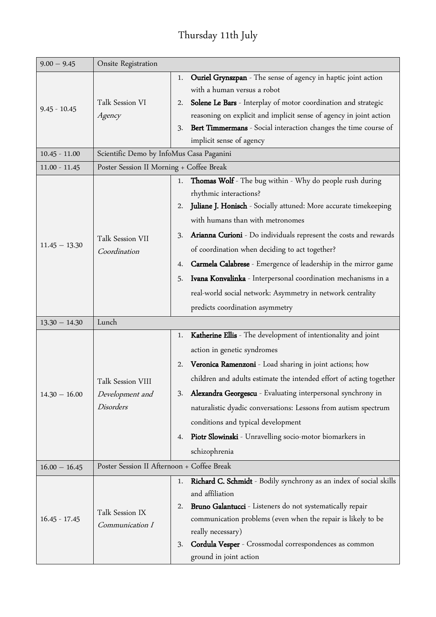## Thursday 11th July

| $9.00 - 9.45$   | Onsite Registration                                      |                                                                                                                                                                                                                                                                                                                                                                                                                                                                                                                                                                                 |
|-----------------|----------------------------------------------------------|---------------------------------------------------------------------------------------------------------------------------------------------------------------------------------------------------------------------------------------------------------------------------------------------------------------------------------------------------------------------------------------------------------------------------------------------------------------------------------------------------------------------------------------------------------------------------------|
| $9.45 - 10.45$  | Talk Session VI<br>Agency                                | Ouriel Grynszpan - The sense of agency in haptic joint action<br>1.<br>with a human versus a robot<br>Solene Le Bars - Interplay of motor coordination and strategic<br>2.<br>reasoning on explicit and implicit sense of agency in joint action<br>Bert Timmermans - Social interaction changes the time course of<br>3.<br>implicit sense of agency                                                                                                                                                                                                                           |
| $10.45 - 11.00$ | Scientific Demo by InfoMus Casa Paganini                 |                                                                                                                                                                                                                                                                                                                                                                                                                                                                                                                                                                                 |
| $11.00 - 11.45$ | Poster Session II Morning + Coffee Break                 |                                                                                                                                                                                                                                                                                                                                                                                                                                                                                                                                                                                 |
| $11.45 - 13.30$ | Talk Session VII<br>Coordination                         | 1. Thomas Wolf - The bug within - Why do people rush during<br>rhythmic interactions?<br>Juliane J. Honisch - Socially attuned: More accurate timekeeping<br>2.<br>with humans than with metronomes<br>Arianna Curioni - Do individuals represent the costs and rewards<br>3.<br>of coordination when deciding to act together?<br>Carmela Calabrese - Emergence of leadership in the mirror game<br>4.<br>Ivana Konvalinka - Interpersonal coordination mechanisms in a<br>5.<br>real-world social network: Asymmetry in network centrality<br>predicts coordination asymmetry |
| $13.30 - 14.30$ | Lunch                                                    |                                                                                                                                                                                                                                                                                                                                                                                                                                                                                                                                                                                 |
| $14.30 - 16.00$ | Talk Session VIII<br>Development and<br><b>Disorders</b> | Katherine Ellis - The development of intentionality and joint<br>1.<br>action in genetic syndromes<br>Veronica Ramenzoni - Load sharing in joint actions; how<br>2.<br>children and adults estimate the intended effort of acting together<br>Alexandra Georgescu - Evaluating interpersonal synchrony in<br>3.<br>naturalistic dyadic conversations: Lessons from autism spectrum<br>conditions and typical development<br>Piotr Slowinski - Unravelling socio-motor biomarkers in<br>4.<br>schizophrenia                                                                      |
| $16.00 - 16.45$ | Poster Session II Afternoon + Coffee Break               |                                                                                                                                                                                                                                                                                                                                                                                                                                                                                                                                                                                 |
| $16.45 - 17.45$ | Talk Session IX<br>Communication I                       | Richard C. Schmidt - Bodily synchrony as an index of social skills<br>1.<br>and affiliation<br>Bruno Galantucci - Listeners do not systematically repair<br>2.<br>communication problems (even when the repair is likely to be<br>really necessary)<br>Cordula Vesper - Crossmodal correspondences as common<br>3.<br>ground in joint action                                                                                                                                                                                                                                    |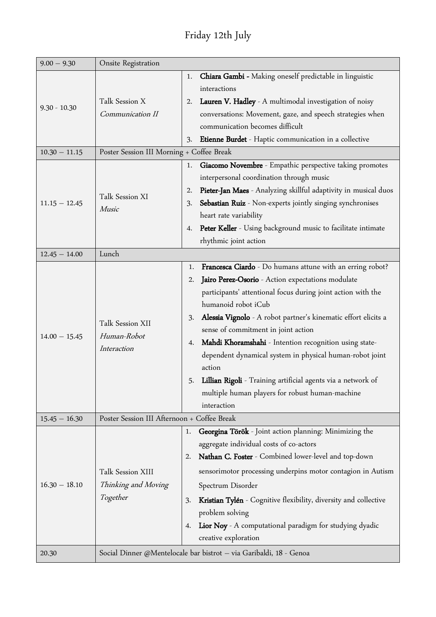## Friday 12th July

| $9.00 - 9.30$                                        | Onsite Registration                                                                                         |                                                                                                                                                                                                                                                                                                                                                                                                                                                                                                                                                                                                                                                                                                       |  |
|------------------------------------------------------|-------------------------------------------------------------------------------------------------------------|-------------------------------------------------------------------------------------------------------------------------------------------------------------------------------------------------------------------------------------------------------------------------------------------------------------------------------------------------------------------------------------------------------------------------------------------------------------------------------------------------------------------------------------------------------------------------------------------------------------------------------------------------------------------------------------------------------|--|
| $9.30 - 10.30$<br>$10.30 - 11.15$<br>$11.15 - 12.45$ | Talk Session X<br>Communication II<br>Poster Session III Morning + Coffee Break<br>Talk Session XI<br>Music | Chiara Gambi - Making oneself predictable in linguistic<br>1.<br>interactions<br>Lauren V. Hadley - A multimodal investigation of noisy<br>2.<br>conversations: Movement, gaze, and speech strategies when<br>communication becomes difficult<br>Etienne Burdet - Haptic communication in a collective<br>3.<br>Giacomo Novembre - Empathic perspective taking promotes<br>1.<br>interpersonal coordination through music<br>Pieter-Jan Maes - Analyzing skillful adaptivity in musical duos<br>2.<br>Sebastian Ruiz - Non-experts jointly singing synchronises<br>3.<br>heart rate variability<br><b>Peter Keller</b> - Using background music to facilitate intimate<br>4.<br>rhythmic joint action |  |
| $12.45 - 14.00$                                      | Lunch                                                                                                       |                                                                                                                                                                                                                                                                                                                                                                                                                                                                                                                                                                                                                                                                                                       |  |
| $14.00 - 15.45$                                      | Talk Session XII<br>Human-Robot<br>Interaction                                                              | Francesca Ciardo - Do humans attune with an erring robot?<br>1.<br>Jairo Perez-Osorio - Action expectations modulate<br>2.<br>participants' attentional focus during joint action with the<br>humanoid robot iCub<br>Alessia Vignolo - A robot partner's kinematic effort elicits a<br>3.<br>sense of commitment in joint action<br>Mahdi Khoramshahi - Intention recognition using state-<br>4.<br>dependent dynamical system in physical human-robot joint<br>action<br>Lillian Rigoli - Training artificial agents via a network of<br>5.<br>multiple human players for robust human-machine<br>interaction                                                                                        |  |
| $15.45 - 16.30$                                      | Poster Session III Afternoon + Coffee Break                                                                 |                                                                                                                                                                                                                                                                                                                                                                                                                                                                                                                                                                                                                                                                                                       |  |
| $16.30 - 18.10$                                      | Talk Session XIII<br>Thinking and Moving<br>Together                                                        | Georgina Török - Joint action planning: Minimizing the<br>1.<br>aggregate individual costs of co-actors<br>Nathan C. Foster - Combined lower-level and top-down<br>2.<br>sensorimotor processing underpins motor contagion in Autism<br>Spectrum Disorder<br>Kristian Tylén - Cognitive flexibility, diversity and collective<br>3.<br>problem solving<br>Lior Noy - A computational paradigm for studying dyadic<br>4.<br>creative exploration                                                                                                                                                                                                                                                       |  |
| 20.30                                                |                                                                                                             | Social Dinner @Mentelocale bar bistrot - via Garibaldi, 18 - Genoa                                                                                                                                                                                                                                                                                                                                                                                                                                                                                                                                                                                                                                    |  |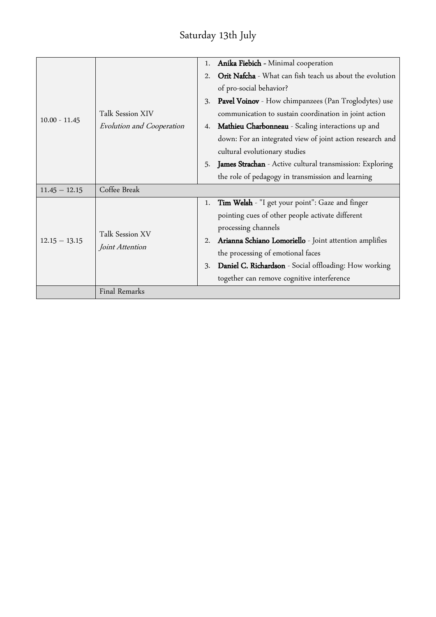## Saturday 13th July

|                 |                           | 1. | <b>Anika Fiebich - Minimal cooperation</b>                  |
|-----------------|---------------------------|----|-------------------------------------------------------------|
|                 | Talk Session XIV          |    | Orit Nafcha - What can fish teach us about the evolution    |
|                 |                           |    | of pro-social behavior?                                     |
|                 |                           |    | <b>Pavel Voinov</b> - How chimpanzees (Pan Troglodytes) use |
|                 |                           |    | communication to sustain coordination in joint action       |
| $10.00 - 11.45$ | Evolution and Cooperation | 4. | Mathieu Charbonneau - Scaling interactions up and           |
|                 |                           |    | down: For an integrated view of joint action research and   |
|                 |                           |    | cultural evolutionary studies                               |
|                 |                           | 5. | James Strachan - Active cultural transmission: Exploring    |
|                 |                           |    | the role of pedagogy in transmission and learning           |
| $11.45 - 12.15$ | Coffee Break              |    |                                                             |
|                 |                           | 1. | Tim Welsh - "I get your point": Gaze and finger             |
|                 | Talk Session XV           |    | pointing cues of other people activate different            |
| $12.15 - 13.15$ |                           |    | processing channels                                         |
|                 | Joint Attention           | 2. | Arianna Schiano Lomoriello - Joint attention amplifies      |
|                 |                           |    | the processing of emotional faces                           |
|                 |                           | 3. | Daniel C. Richardson - Social offloading: How working       |
|                 |                           |    | together can remove cognitive interference                  |
|                 | Final Remarks             |    |                                                             |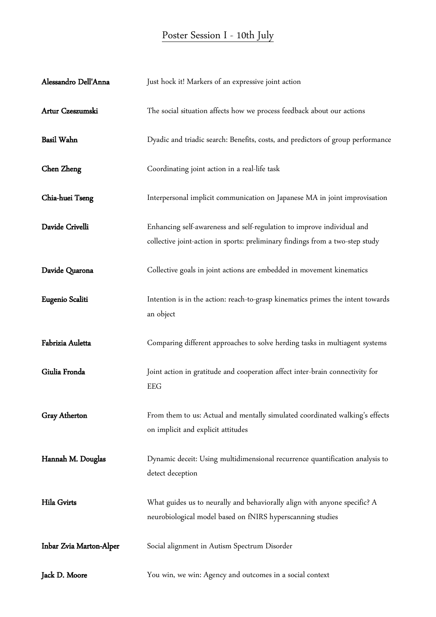#### Poster Session I - 10th July

| Alessandro Dell'Anna    | Just hock it! Markers of an expressive joint action                                                                                                     |
|-------------------------|---------------------------------------------------------------------------------------------------------------------------------------------------------|
| Artur Czeszumski        | The social situation affects how we process feedback about our actions                                                                                  |
| <b>Basil Wahn</b>       | Dyadic and triadic search: Benefits, costs, and predictors of group performance                                                                         |
| Chen Zheng              | Coordinating joint action in a real-life task                                                                                                           |
| Chia-huei Tseng         | Interpersonal implicit communication on Japanese MA in joint improvisation                                                                              |
| Davide Crivelli         | Enhancing self-awareness and self-regulation to improve individual and<br>collective joint-action in sports: preliminary findings from a two-step study |
| Davide Quarona          | Collective goals in joint actions are embedded in movement kinematics                                                                                   |
| Eugenio Scaliti         | Intention is in the action: reach-to-grasp kinematics primes the intent towards<br>an object                                                            |
| Fabrizia Auletta        | Comparing different approaches to solve herding tasks in multiagent systems                                                                             |
| Giulia Fronda           | Joint action in gratitude and cooperation affect inter-brain connectivity for<br><b>EEG</b>                                                             |
| <b>Gray Atherton</b>    | From them to us: Actual and mentally simulated coordinated walking's effects<br>on implicit and explicit attitudes                                      |
| Hannah M. Douglas       | Dynamic deceit: Using multidimensional recurrence quantification analysis to<br>detect deception                                                        |
| Hila Gvirts             | What guides us to neurally and behaviorally align with anyone specific? A<br>neurobiological model based on fNIRS hyperscanning studies                 |
| Inbar Zvia Marton-Alper | Social alignment in Autism Spectrum Disorder                                                                                                            |
| Jack D. Moore           | You win, we win: Agency and outcomes in a social context                                                                                                |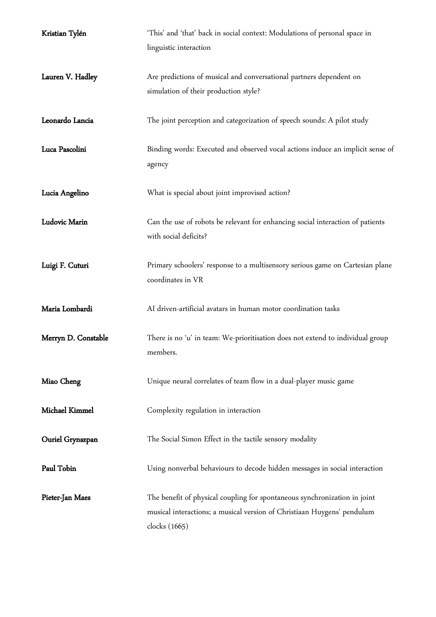| Kristian Tylén      | 'This' and 'that' back in social context: Modulations of personal space in<br>linguistic interaction                                                                  |
|---------------------|-----------------------------------------------------------------------------------------------------------------------------------------------------------------------|
| Lauren V. Hadley    | Are predictions of musical and conversational partners dependent on<br>simulation of their production style?                                                          |
| Leonardo Lancia     | The joint perception and categorization of speech sounds: A pilot study                                                                                               |
| Luca Pascolini      | Binding words: Executed and observed vocal actions induce an implicit sense of<br>agency                                                                              |
| Lucia Angelino      | What is special about joint improvised action?                                                                                                                        |
| Ludovic Marin       | Can the use of robots be relevant for enhancing social interaction of patients<br>with social deficits?                                                               |
| Luigi F. Cuturi     | Primary schoolers' response to a multisensory serious game on Cartesian plane<br>coordinates in VR                                                                    |
| Maria Lombardi      | AI driven-artificial avatars in human motor coordination tasks                                                                                                        |
| Merryn D. Constable | There is no 'u' in team: We-prioritisation does not extend to individual group<br>members.                                                                            |
| Miao Cheng          | Unique neural correlates of team flow in a dual-player music game                                                                                                     |
| Michael Kimmel      | Complexity regulation in interaction                                                                                                                                  |
| Ouriel Grynszpan    | The Social Simon Effect in the tactile sensory modality                                                                                                               |
| Paul Tobin          | Using nonverbal behaviours to decode hidden messages in social interaction                                                                                            |
| Pieter-Jan Maes     | The benefit of physical coupling for spontaneous synchronization in joint<br>musical interactions; a musical version of Christiaan Huygens' pendulum<br>clocks (1665) |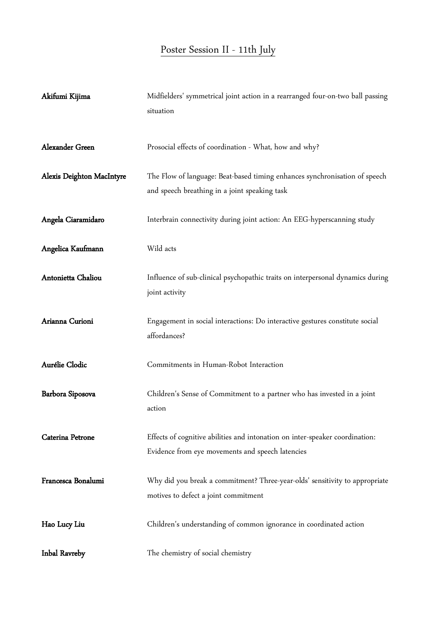# Poster Session II - 11th July

| Akifumi Kijima            | Midfielders' symmetrical joint action in a rearranged four-on-two ball passing<br>situation                                      |
|---------------------------|----------------------------------------------------------------------------------------------------------------------------------|
| Alexander Green           | Prosocial effects of coordination - What, how and why?                                                                           |
| Alexis Deighton MacIntyre | The Flow of language: Beat-based timing enhances synchronisation of speech<br>and speech breathing in a joint speaking task      |
| Angela Ciaramidaro        | Interbrain connectivity during joint action: An EEG-hyperscanning study                                                          |
| Angelica Kaufmann         | Wild acts                                                                                                                        |
| Antonietta Chaliou        | Influence of sub-clinical psychopathic traits on interpersonal dynamics during<br>joint activity                                 |
| Arianna Curioni           | Engagement in social interactions: Do interactive gestures constitute social<br>affordances?                                     |
| Aurélie Clodic            | Commitments in Human-Robot Interaction                                                                                           |
| Barbora Siposova          | Children's Sense of Commitment to a partner who has invested in a joint<br>action                                                |
| Caterina Petrone          | Effects of cognitive abilities and intonation on inter-speaker coordination:<br>Evidence from eye movements and speech latencies |
| Francesca Bonalumi        | Why did you break a commitment? Three-year-olds' sensitivity to appropriate<br>motives to defect a joint commitment              |
| Hao Lucy Liu              | Children's understanding of common ignorance in coordinated action                                                               |
| Inbal Ravreby             | The chemistry of social chemistry                                                                                                |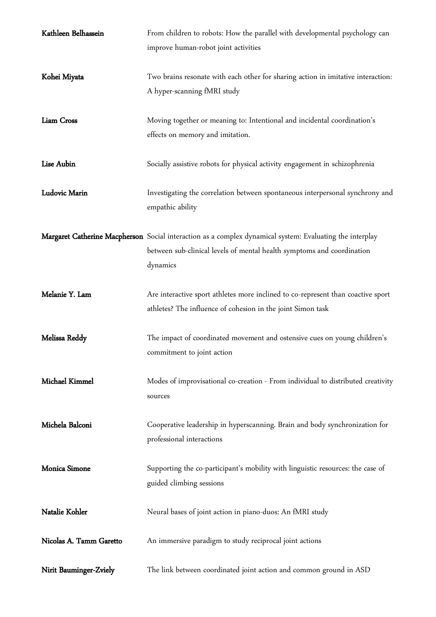| Kathleen Belhassein     | From children to robots: How the parallel with developmental psychology can                              |
|-------------------------|----------------------------------------------------------------------------------------------------------|
|                         | improve human-robot joint activities                                                                     |
|                         |                                                                                                          |
| Kohei Miyata            | Two brains resonate with each other for sharing action in imitative interaction:                         |
|                         | A hyper-scanning fMRI study                                                                              |
|                         |                                                                                                          |
| Liam Cross              | Moving together or meaning to: Intentional and incidental coordination's                                 |
|                         | effects on memory and imitation.                                                                         |
|                         |                                                                                                          |
| Lise Aubin              | Socially assistive robots for physical activity engagement in schizophrenia                              |
|                         |                                                                                                          |
| Ludovic Marin           | Investigating the correlation between spontaneous interpersonal synchrony and                            |
|                         | empathic ability                                                                                         |
|                         |                                                                                                          |
|                         | Margaret Catherine Macpherson Social interaction as a complex dynamical system: Evaluating the interplay |
|                         | between sub-clinical levels of mental health symptoms and coordination                                   |
|                         | dynamics                                                                                                 |
|                         |                                                                                                          |
| Melanie Y. Lam          | Are interactive sport athletes more inclined to co-represent than coactive sport                         |
|                         | athletes? The influence of cohesion in the joint Simon task                                              |
|                         |                                                                                                          |
| Melissa Reddy           | The impact of coordinated movement and ostensive cues on young children's                                |
|                         | commitment to joint action                                                                               |
| Michael Kimmel          | Modes of improvisational co-creation - From individual to distributed creativity                         |
|                         | sources                                                                                                  |
|                         |                                                                                                          |
| Michela Balconi         | Cooperative leadership in hyperscanning. Brain and body synchronization for                              |
|                         | professional interactions                                                                                |
|                         |                                                                                                          |
| Monica Simone           | Supporting the co-participant's mobility with linguistic resources: the case of                          |
|                         | guided climbing sessions                                                                                 |
|                         |                                                                                                          |
| Natalie Kohler          | Neural bases of joint action in piano-duos: An fMRI study                                                |
|                         |                                                                                                          |
| Nicolas A. Tamm Garetto | An immersive paradigm to study reciprocal joint actions                                                  |
|                         |                                                                                                          |
| Nirit Bauminger-Zviely  | The link between coordinated joint action and common ground in ASD                                       |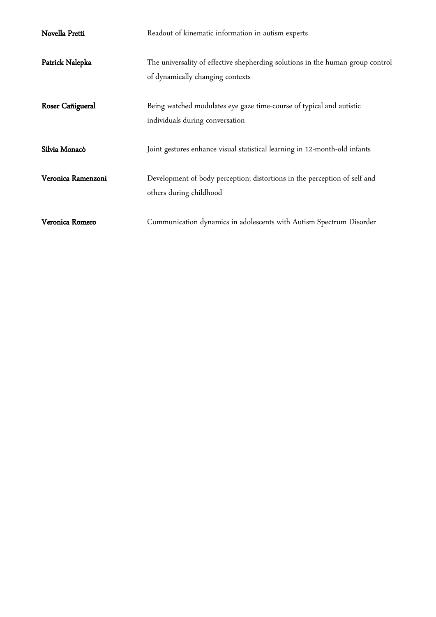| Novella Pretti     | Readout of kinematic information in autism experts                                                                 |
|--------------------|--------------------------------------------------------------------------------------------------------------------|
| Patrick Nalepka    | The universality of effective shepherding solutions in the human group control<br>of dynamically changing contexts |
| Roser Cañigueral   | Being watched modulates eye gaze time-course of typical and autistic<br>individuals during conversation            |
| Silvia Monacò      | Joint gestures enhance visual statistical learning in 12-month-old infants                                         |
| Veronica Ramenzoni | Development of body perception; distortions in the perception of self and<br>others during childhood               |
| Veronica Romero    | Communication dynamics in adolescents with Autism Spectrum Disorder                                                |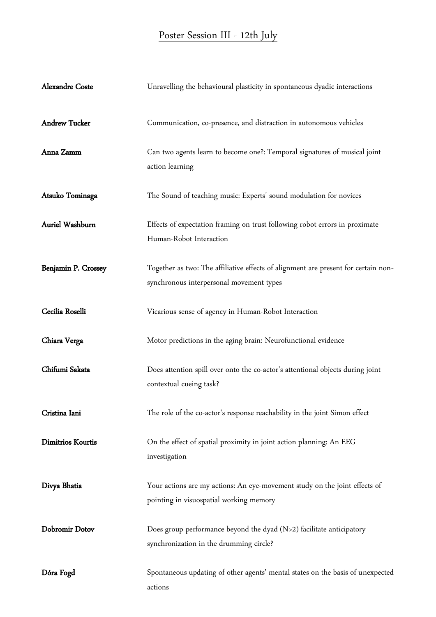#### Poster Session III - 12th July

| <b>Alexandre Coste</b> | Unravelling the behavioural plasticity in spontaneous dyadic interactions                                                      |
|------------------------|--------------------------------------------------------------------------------------------------------------------------------|
| <b>Andrew Tucker</b>   | Communication, co-presence, and distraction in autonomous vehicles                                                             |
| Anna Zamm              | Can two agents learn to become one?: Temporal signatures of musical joint<br>action learning                                   |
| Atsuko Tominaga        | The Sound of teaching music: Experts' sound modulation for novices                                                             |
| Auriel Washburn        | Effects of expectation framing on trust following robot errors in proximate<br>Human-Robot Interaction                         |
| Benjamin P. Crossey    | Together as two: The affiliative effects of alignment are present for certain non-<br>synchronous interpersonal movement types |
| Cecilia Roselli        | Vicarious sense of agency in Human-Robot Interaction                                                                           |
| Chiara Verga           | Motor predictions in the aging brain: Neurofunctional evidence                                                                 |
| Chifumi Sakata         | Does attention spill over onto the co-actor's attentional objects during joint<br>contextual cueing task?                      |
| Cristina Iani          | The role of the co-actor's response reachability in the joint Simon effect                                                     |
| Dimitrios Kourtis      | On the effect of spatial proximity in joint action planning: An EEG<br>investigation                                           |
| Divya Bhatia           | Your actions are my actions: An eye-movement study on the joint effects of<br>pointing in visuospatial working memory          |
| Dobromir Dotov         | Does group performance beyond the dyad $(N>2)$ facilitate anticipatory<br>synchronization in the drumming circle?              |
| Dóra Fogd              | Spontaneous updating of other agents' mental states on the basis of unexpected<br>actions                                      |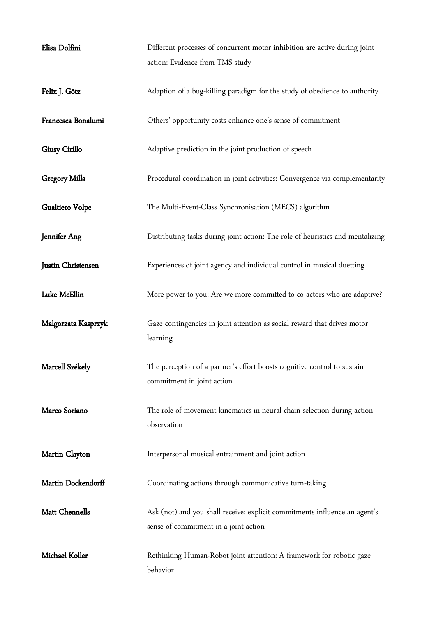| Elisa Dolfini        | Different processes of concurrent motor inhibition are active during joint<br>action: Evidence from TMS study       |
|----------------------|---------------------------------------------------------------------------------------------------------------------|
| Felix J. Götz        | Adaption of a bug-killing paradigm for the study of obedience to authority                                          |
| Francesca Bonalumi   | Others' opportunity costs enhance one's sense of commitment                                                         |
| Giusy Cirillo        | Adaptive prediction in the joint production of speech                                                               |
| <b>Gregory Mills</b> | Procedural coordination in joint activities: Convergence via complementarity                                        |
| Gualtiero Volpe      | The Multi-Event-Class Synchronisation (MECS) algorithm                                                              |
| Jennifer Ang         | Distributing tasks during joint action: The role of heuristics and mentalizing                                      |
| Justin Christensen   | Experiences of joint agency and individual control in musical duetting                                              |
| Luke McEllin         | More power to you: Are we more committed to co-actors who are adaptive?                                             |
| Malgorzata Kasprzyk  | Gaze contingencies in joint attention as social reward that drives motor<br>learning                                |
| Marcell Székely      | The perception of a partner's effort boosts cognitive control to sustain<br>commitment in joint action              |
| Marco Soriano        | The role of movement kinematics in neural chain selection during action<br>observation                              |
|                      |                                                                                                                     |
| Martin Clayton       | Interpersonal musical entrainment and joint action                                                                  |
| Martin Dockendorff   | Coordinating actions through communicative turn-taking                                                              |
| Matt Chennells       | Ask (not) and you shall receive: explicit commitments influence an agent's<br>sense of commitment in a joint action |